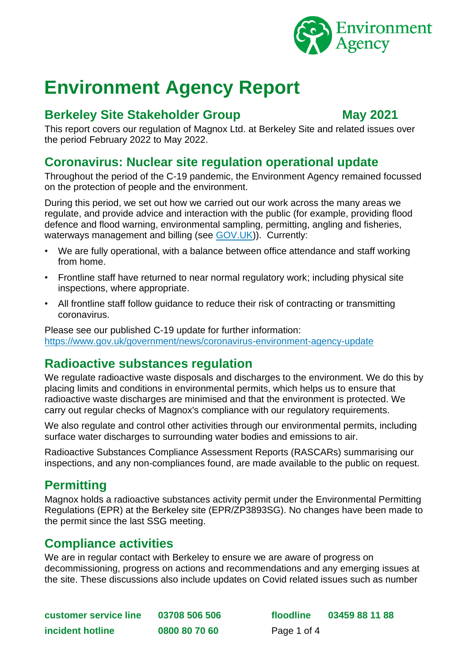

# **Environment Agency Report**

#### **Berkeley Site Stakeholder Group May 2021**

This report covers our regulation of Magnox Ltd. at Berkeley Site and related issues over the period February 2022 to May 2022.

#### **Coronavirus: Nuclear site regulation operational update**

Throughout the period of the C-19 pandemic, the Environment Agency remained focussed on the protection of people and the environment.

During this period, we set out how we carried out our work across the many areas we regulate, and provide advice and interaction with the public (for example, providing flood defence and flood warning, environmental sampling, permitting, angling and fisheries, waterways management and billing (see [GOV.UK\)](https://www.gov.uk/government/news/coronavirus-environment-agency-update)). Currently:

- We are fully operational, with a balance between office attendance and staff working from home.
- Frontline staff have returned to near normal regulatory work; including physical site inspections, where appropriate.
- All frontline staff follow guidance to reduce their risk of contracting or transmitting coronavirus.

Please see our published C-19 update for further information: <https://www.gov.uk/government/news/coronavirus-environment-agency-update>

## **Radioactive substances regulation**

We regulate radioactive waste disposals and discharges to the environment. We do this by placing limits and conditions in environmental permits, which helps us to ensure that radioactive waste discharges are minimised and that the environment is protected. We carry out regular checks of Magnox's compliance with our regulatory requirements.

We also regulate and control other activities through our environmental permits, including surface water discharges to surrounding water bodies and emissions to air.

Radioactive Substances Compliance Assessment Reports (RASCARs) summarising our inspections, and any non-compliances found, are made available to the public on request.

## **Permitting**

Magnox holds a radioactive substances activity permit under the Environmental Permitting Regulations (EPR) at the Berkeley site (EPR/ZP3893SG). No changes have been made to the permit since the last SSG meeting.

#### **Compliance activities**

We are in regular contact with Berkeley to ensure we are aware of progress on decommissioning, progress on actions and recommendations and any emerging issues at the site. These discussions also include updates on Covid related issues such as number

**customer service line 03708 506 506 floodline 03459 88 11 88 incident hotline 0800 80 70 60** Page 1 of 4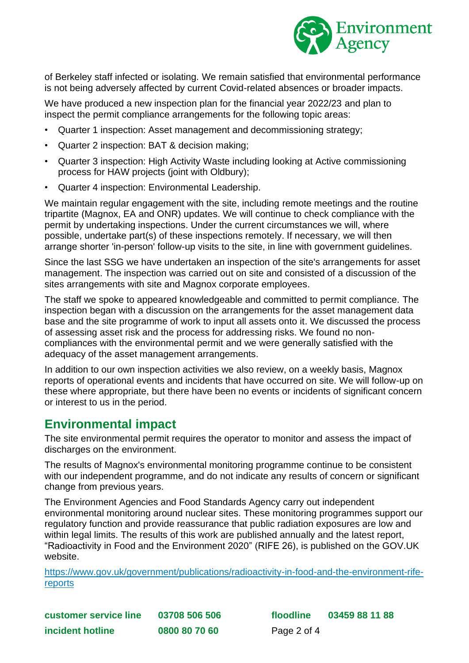

of Berkeley staff infected or isolating. We remain satisfied that environmental performance is not being adversely affected by current Covid-related absences or broader impacts.

We have produced a new inspection plan for the financial year 2022/23 and plan to inspect the permit compliance arrangements for the following topic areas:

- Quarter 1 inspection: Asset management and decommissioning strategy;
- Quarter 2 inspection: BAT & decision making;
- Quarter 3 inspection: High Activity Waste including looking at Active commissioning process for HAW projects (joint with Oldbury);
- Quarter 4 inspection: Environmental Leadership.

We maintain regular engagement with the site, including remote meetings and the routine tripartite (Magnox, EA and ONR) updates. We will continue to check compliance with the permit by undertaking inspections. Under the current circumstances we will, where possible, undertake part(s) of these inspections remotely. If necessary, we will then arrange shorter 'in-person' follow-up visits to the site, in line with government guidelines.

Since the last SSG we have undertaken an inspection of the site's arrangements for asset management. The inspection was carried out on site and consisted of a discussion of the sites arrangements with site and Magnox corporate employees.

The staff we spoke to appeared knowledgeable and committed to permit compliance. The inspection began with a discussion on the arrangements for the asset management data base and the site programme of work to input all assets onto it. We discussed the process of assessing asset risk and the process for addressing risks. We found no noncompliances with the environmental permit and we were generally satisfied with the adequacy of the asset management arrangements.

In addition to our own inspection activities we also review, on a weekly basis, Magnox reports of operational events and incidents that have occurred on site. We will follow-up on these where appropriate, but there have been no events or incidents of significant concern or interest to us in the period.

#### **Environmental impact**

The site environmental permit requires the operator to monitor and assess the impact of discharges on the environment.

The results of Magnox's environmental monitoring programme continue to be consistent with our independent programme, and do not indicate any results of concern or significant change from previous years.

The Environment Agencies and Food Standards Agency carry out independent environmental monitoring around nuclear sites. These monitoring programmes support our regulatory function and provide reassurance that public radiation exposures are low and within legal limits. The results of this work are published annually and the latest report, "Radioactivity in Food and the Environment 2020" (RIFE 26), is published on the GOV.UK website.

[https://www.gov.uk/government/publications/radioactivity-in-food-and-the-environment-rife](https://www.gov.uk/government/publications/radioactivity-in-food-and-the-environment-rife-reports)[reports](https://www.gov.uk/government/publications/radioactivity-in-food-and-the-environment-rife-reports)

**customer service line 03708 506 506 floodline 03459 88 11 88 incident hotline 0800 80 70 60** Page 2 of 4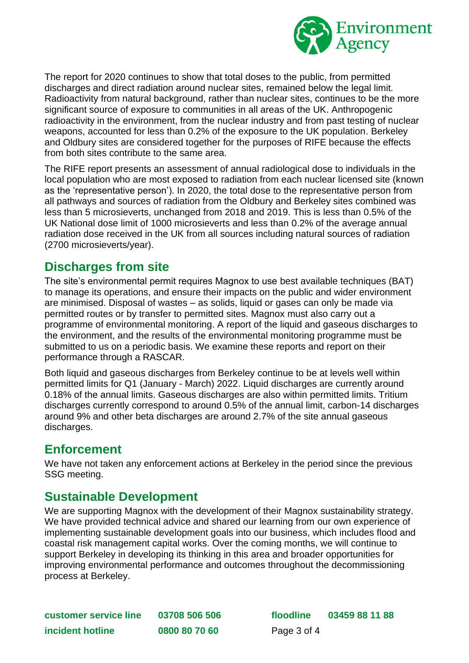

The report for 2020 continues to show that total doses to the public, from permitted discharges and direct radiation around nuclear sites, remained below the legal limit. Radioactivity from natural background, rather than nuclear sites, continues to be the more significant source of exposure to communities in all areas of the UK. Anthropogenic radioactivity in the environment, from the nuclear industry and from past testing of nuclear weapons, accounted for less than 0.2% of the exposure to the UK population. Berkeley and Oldbury sites are considered together for the purposes of RIFE because the effects from both sites contribute to the same area.

The RIFE report presents an assessment of annual radiological dose to individuals in the local population who are most exposed to radiation from each nuclear licensed site (known as the 'representative person'). In 2020, the total dose to the representative person from all pathways and sources of radiation from the Oldbury and Berkeley sites combined was less than 5 microsieverts, unchanged from 2018 and 2019. This is less than 0.5% of the UK National dose limit of 1000 microsieverts and less than 0.2% of the average annual radiation dose received in the UK from all sources including natural sources of radiation (2700 microsieverts/year).

#### **Discharges from site**

The site's environmental permit requires Magnox to use best available techniques (BAT) to manage its operations, and ensure their impacts on the public and wider environment are minimised. Disposal of wastes – as solids, liquid or gases can only be made via permitted routes or by transfer to permitted sites. Magnox must also carry out a programme of environmental monitoring. A report of the liquid and gaseous discharges to the environment, and the results of the environmental monitoring programme must be submitted to us on a periodic basis. We examine these reports and report on their performance through a RASCAR.

Both liquid and gaseous discharges from Berkeley continue to be at levels well within permitted limits for Q1 (January - March) 2022. Liquid discharges are currently around 0.18% of the annual limits. Gaseous discharges are also within permitted limits. Tritium discharges currently correspond to around 0.5% of the annual limit, carbon-14 discharges around 9% and other beta discharges are around 2.7% of the site annual gaseous discharges.

#### **Enforcement**

We have not taken any enforcement actions at Berkeley in the period since the previous SSG meeting.

#### **Sustainable Development**

We are supporting Magnox with the development of their Magnox sustainability strategy. We have provided technical advice and shared our learning from our own experience of implementing sustainable development goals into our business, which includes flood and coastal risk management capital works. Over the coming months, we will continue to support Berkeley in developing its thinking in this area and broader opportunities for improving environmental performance and outcomes throughout the decommissioning process at Berkeley.

| customer service line | 03708 506 506 |
|-----------------------|---------------|
| incident hotline      | 0800 80 70 60 |

**customer service line 03708 506 506 floodline 03459 88 11 88** Page 3 of 4